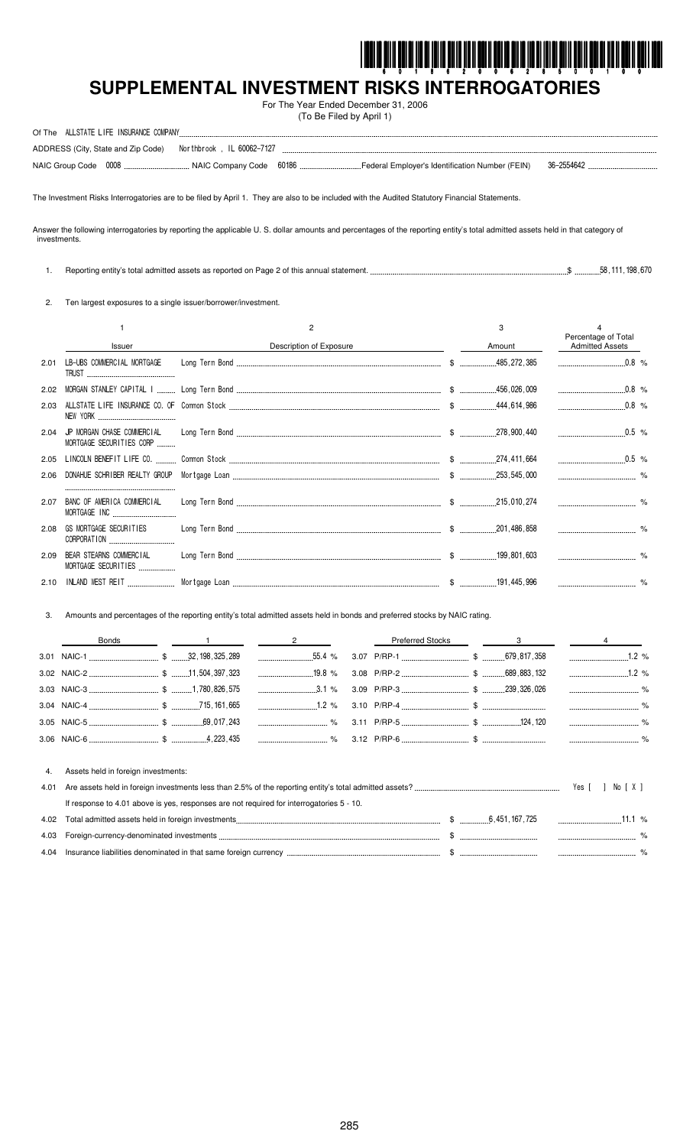

# SUPPLEMENTAL INVESTMENT RISKS INTERROGATORIES

For The Year Ended December 31, 2006 (To Be Filed by April 1)

| Of The | ALLSTATE LIFE INSURANCE COMPANY |                                                               |  |            |  |
|--------|---------------------------------|---------------------------------------------------------------|--|------------|--|
|        |                                 | ADDRESS (City, State and Zip Code) Nor thbrook, IL 60062-7127 |  |            |  |
|        |                                 |                                                               |  | 36–2554642 |  |

The Investment Risks Interrogatories are to be filed by April 1. They are also to be included with the Audited Statutory Financial Statements.

Answer the following interrogatories by reporting the applicable U. S. dollar amounts and percentages of the reporting entity's total admitted assets held in that category of investments.

1. Reporting entity's total admitted assets as reported on Page 2 of this annual statement. ...  $\$\$  ... 58, 111, 198, 670

2. Ten largest exposures to a single issuer/borrower/investment.

|      |                                            | $\overline{2}$          | 3      | Percentage of Total    |  |
|------|--------------------------------------------|-------------------------|--------|------------------------|--|
|      | Issuer                                     | Description of Exposure | Amount | <b>Admitted Assets</b> |  |
| 2.01 | LB-UBS COMMERCIAL MORTGAGE                 |                         |        | $0.8\%$                |  |
| 2.02 |                                            |                         |        |                        |  |
| 2.03 |                                            |                         |        |                        |  |
|      | MORTGAGE SECURITIES CORP                   |                         |        |                        |  |
| 2.05 |                                            |                         |        |                        |  |
| 2.06 |                                            |                         |        |                        |  |
| 2.07 | MORTGAGE INC                               |                         |        |                        |  |
|      | 2.08 GS MORTGAGE SECURITIES<br>CORPORATION |                         |        |                        |  |
|      | MORTGAGE SECURITIES                        |                         |        |                        |  |
|      |                                            |                         |        |                        |  |

 $\overline{3}$ . Amounts and percentages of the reporting entity's total admitted assets held in bonds and preferred stocks by NAIC rating.

|    | Bonds                               |  |  |  | Preferred Stocks 3 |  |
|----|-------------------------------------|--|--|--|--------------------|--|
|    |                                     |  |  |  |                    |  |
|    |                                     |  |  |  |                    |  |
|    |                                     |  |  |  |                    |  |
|    |                                     |  |  |  |                    |  |
|    |                                     |  |  |  |                    |  |
|    |                                     |  |  |  |                    |  |
| 4. | Assets held in foreign investments: |  |  |  |                    |  |
|    |                                     |  |  |  |                    |  |

| If response to 4.01 above is yes, responses are not required for interrogatories 5 - 10. |                 |        |  |
|------------------------------------------------------------------------------------------|-----------------|--------|--|
|                                                                                          | \$6.451.167.725 | 11.1 % |  |
|                                                                                          |                 |        |  |
| 4.04 Insurance liabilities denominated in that same foreign currency                     |                 |        |  |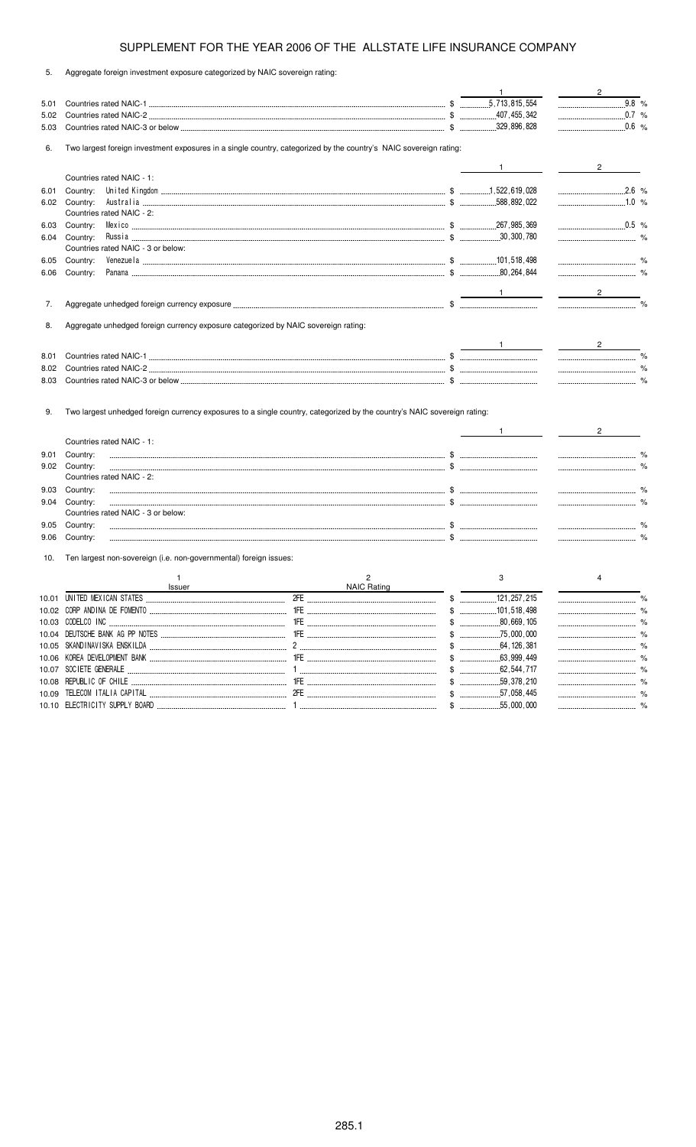5. Aggregate foreign investment exposure categorized by NAIC sovereign rating:

|      |                                                                                                                          | 1.                | $\overline{2}$                 |  |
|------|--------------------------------------------------------------------------------------------------------------------------|-------------------|--------------------------------|--|
| 5.01 |                                                                                                                          |                   |                                |  |
| 5.02 |                                                                                                                          |                   | 0.7 %                          |  |
| 5.03 |                                                                                                                          |                   |                                |  |
| 6.   | Two largest foreign investment exposures in a single country, categorized by the country's NAIC sovereign rating:        |                   |                                |  |
|      |                                                                                                                          | $1 \qquad \qquad$ |                                |  |
|      | Countries rated NAIC - 1:                                                                                                |                   |                                |  |
| 6.01 |                                                                                                                          |                   |                                |  |
| 6.02 | Country:                                                                                                                 |                   | $1.0\%$                        |  |
|      | Countries rated NAIC - 2:                                                                                                |                   |                                |  |
| 6.03 | Country:                                                                                                                 |                   | $\ldots$ 0.5 %                 |  |
| 6.04 | Country:                                                                                                                 |                   |                                |  |
|      | Countries rated NAIC - 3 or below:                                                                                       |                   |                                |  |
| 6.05 | Country:                                                                                                                 |                   |                                |  |
| 6.06 | Country:                                                                                                                 |                   |                                |  |
|      |                                                                                                                          |                   | $\overline{\phantom{a}}$ 2     |  |
| 7.   |                                                                                                                          |                   |                                |  |
| 8.   | Aggregate unhedged foreign currency exposure categorized by NAIC sovereign rating:                                       |                   |                                |  |
|      |                                                                                                                          |                   |                                |  |
| 8.01 |                                                                                                                          |                   |                                |  |
| 8.02 |                                                                                                                          |                   |                                |  |
| 8.03 |                                                                                                                          |                   |                                |  |
| 9.   | Two largest unhedged foreign currency exposures to a single country, categorized by the country's NAIC sovereign rating: |                   |                                |  |
|      |                                                                                                                          |                   | $2 \left( \frac{1}{2} \right)$ |  |
|      | Countries rated NAIC - 1:                                                                                                |                   |                                |  |
| 9.01 | Country:                                                                                                                 |                   |                                |  |
| 9.02 | Country:                                                                                                                 |                   |                                |  |
|      | Countries rated NAIC - 2:                                                                                                |                   |                                |  |
| 9.03 | Country:                                                                                                                 |                   |                                |  |
| 9.04 | Country:                                                                                                                 |                   |                                |  |
|      | Countries rated NAIC - 3 or below:                                                                                       |                   |                                |  |
| 9.05 | Country:                                                                                                                 |                   |                                |  |
| 9.06 | Country:                                                                                                                 |                   |                                |  |
| 10.  | Ten largest non-sovereign (i.e. non-governmental) foreign issues:                                                        |                   |                                |  |

| <b>Issuer</b> | NAIC Rating |  |                                 |  |
|---------------|-------------|--|---------------------------------|--|
|               |             |  |                                 |  |
|               |             |  |                                 |  |
|               |             |  |                                 |  |
|               |             |  |                                 |  |
|               |             |  |                                 |  |
|               |             |  |                                 |  |
|               |             |  | the contract of the contract of |  |
|               |             |  |                                 |  |
|               |             |  |                                 |  |
|               |             |  |                                 |  |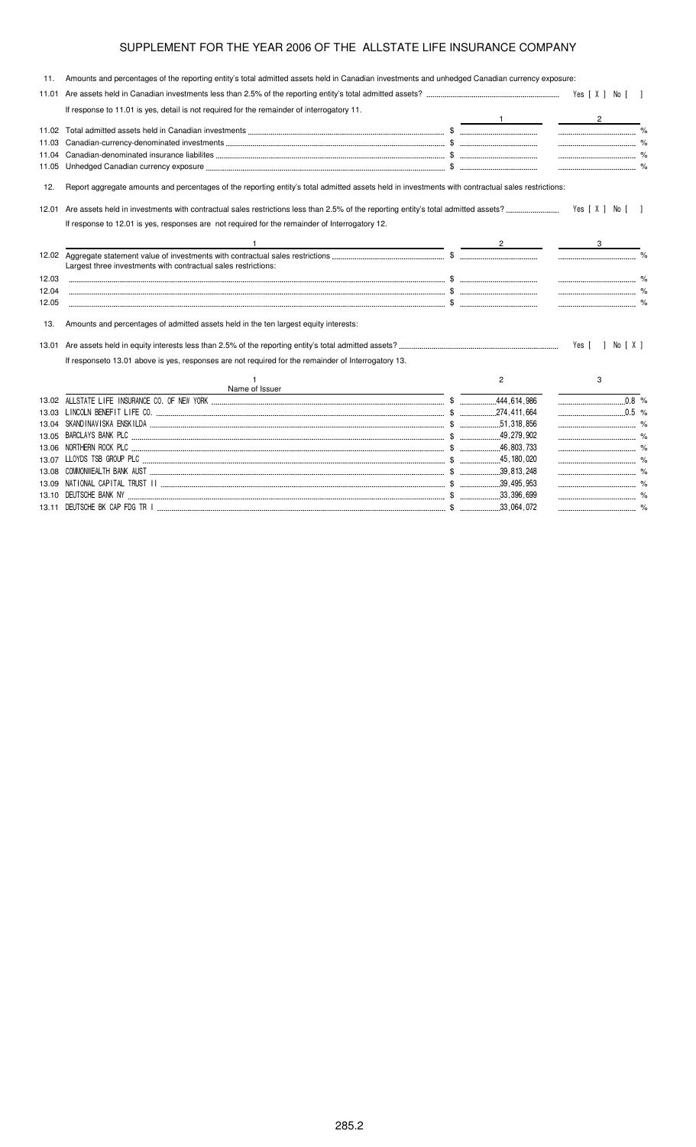| 11.   | Amounts and percentages of the reporting entity's total admitted assets held in Canadian investments and unhedged Canadian currency exposure:     |                |                  |  |
|-------|---------------------------------------------------------------------------------------------------------------------------------------------------|----------------|------------------|--|
| 11.01 |                                                                                                                                                   |                |                  |  |
|       | If response to 11.01 is yes, detail is not required for the remainder of interrogatory 11.                                                        |                | $\overline{2}$   |  |
| 11.02 |                                                                                                                                                   |                |                  |  |
| 11.03 |                                                                                                                                                   |                |                  |  |
| 11.04 |                                                                                                                                                   |                |                  |  |
| 11.05 |                                                                                                                                                   |                |                  |  |
| 12.   | Report aggregate amounts and percentages of the reporting entity's total admitted assets held in investments with contractual sales restrictions: |                |                  |  |
| 12.01 |                                                                                                                                                   |                |                  |  |
|       | If response to 12.01 is yes, responses are not required for the remainder of Interrogatory 12.                                                    |                |                  |  |
|       |                                                                                                                                                   |                |                  |  |
|       | Largest three investments with contractual sales restrictions:                                                                                    |                |                  |  |
| 12.03 |                                                                                                                                                   |                |                  |  |
| 12.04 |                                                                                                                                                   |                |                  |  |
| 12.05 |                                                                                                                                                   |                |                  |  |
| 13.   | Amounts and percentages of admitted assets held in the ten largest equity interests:                                                              |                |                  |  |
|       |                                                                                                                                                   |                | Yes [ ] No [ X ] |  |
|       | If responseto 13.01 above is yes, responses are not required for the remainder of Interrogatory 13.                                               |                |                  |  |
|       | Name of Issuer                                                                                                                                    | $\overline{2}$ | 3                |  |
|       |                                                                                                                                                   |                |                  |  |
|       |                                                                                                                                                   |                | $\ldots$ 0.5 %   |  |
|       |                                                                                                                                                   |                |                  |  |
|       |                                                                                                                                                   |                |                  |  |
|       |                                                                                                                                                   |                |                  |  |
|       |                                                                                                                                                   |                |                  |  |
| 13.08 |                                                                                                                                                   |                |                  |  |
|       |                                                                                                                                                   |                |                  |  |

\$ %%% %

& #( \$ %%! %

13.10 DEUTSCHE BA

13.11 DEUTSCHE BK CA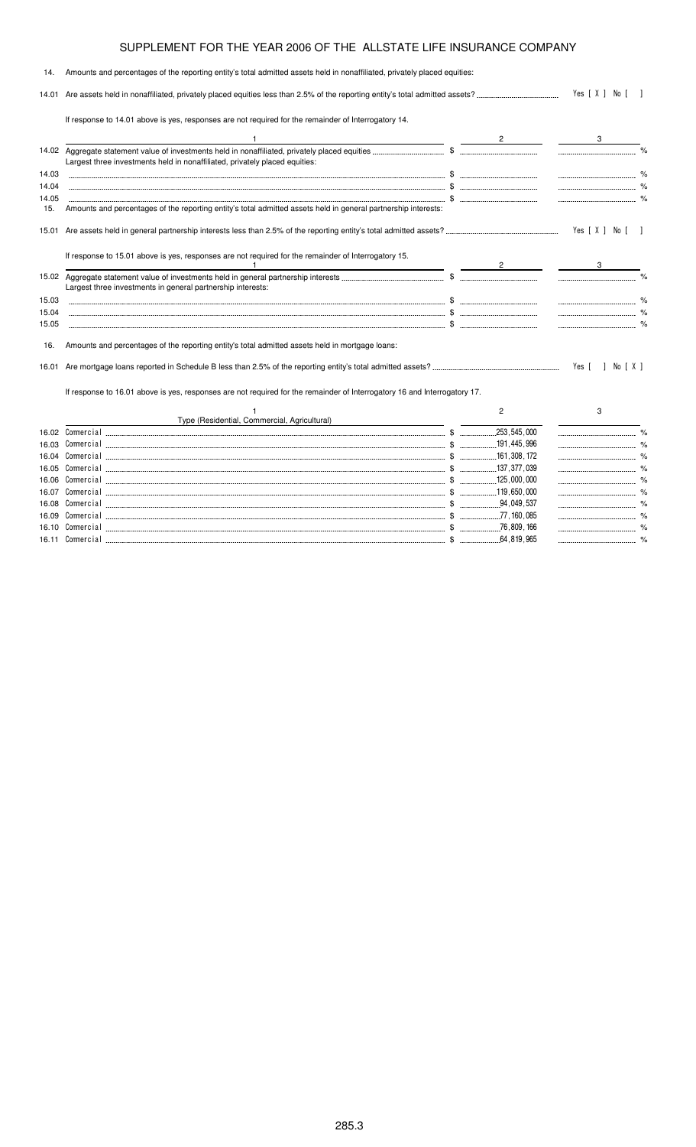| 14.          | Amounts and percentages of the reporting entity's total admitted assets held in nonaffiliated, privately placed equities:                                             |                |                  |
|--------------|-----------------------------------------------------------------------------------------------------------------------------------------------------------------------|----------------|------------------|
|              |                                                                                                                                                                       |                |                  |
|              | If response to 14.01 above is yes, responses are not required for the remainder of Interrogatory 14.                                                                  |                |                  |
|              |                                                                                                                                                                       |                |                  |
|              | Largest three investments held in nonaffiliated, privately placed equities:                                                                                           |                |                  |
| 14.03        |                                                                                                                                                                       |                |                  |
| 14.04        |                                                                                                                                                                       |                |                  |
| 14.05<br>15. | Amounts and percentages of the reporting entity's total admitted assets held in general partnership interests:                                                        |                |                  |
| 15.01        |                                                                                                                                                                       |                | Yes [ X ] No [ ] |
|              | If response to 15.01 above is yes, responses are not required for the remainder of Interrogatory 15.                                                                  |                |                  |
| 15.02        | <u> 1980 - Johann Barn, amerikansk politiker (d. 1980)</u><br>Largest three investments in general partnership interests:                                             |                |                  |
| 15.03        |                                                                                                                                                                       |                |                  |
| 15.04        |                                                                                                                                                                       |                |                  |
| 15.05        | $\ddot{\texttt{s}}$ , and the contract of $\ddot{\texttt{s}}$ , and $\ddot{\texttt{s}}$ , and $\ddot{\texttt{s}}$ , and $\ddot{\texttt{s}}$ , and $\ddot{\texttt{s}}$ |                |                  |
| 16.          | Amounts and percentages of the reporting entity's total admitted assets held in mortgage loans:                                                                       |                |                  |
|              |                                                                                                                                                                       |                | Yes [ ] No [ X ] |
|              | If response to 16.01 above is yes, responses are not required for the remainder of Interrogatory 16 and Interrogatory 17.                                             |                |                  |
|              | Type (Residential, Commercial, Agricultural)                                                                                                                          | $\overline{c}$ | 3                |
|              | <u> 1989 - Andrea State Barbara, política establecente de la propia de la propia de la propia de la propia de la</u>                                                  | .253,545,000   |                  |
|              |                                                                                                                                                                       |                |                  |
|              | 1004 Comproiel                                                                                                                                                        | 101 200 170    |                  |

|       | 16.04 Commercial | 161         |  |
|-------|------------------|-------------|--|
|       | 16.05 Commercial | 137.377.039 |  |
|       |                  | 125,000,000 |  |
|       | 16.07 Commercial | 119 650 000 |  |
|       |                  | 94 049 537  |  |
| 16.09 | Commercial       | 77 160 085  |  |
| 16.10 | Commercial       | 76.809.166  |  |
| 16.11 |                  | 64 819 965  |  |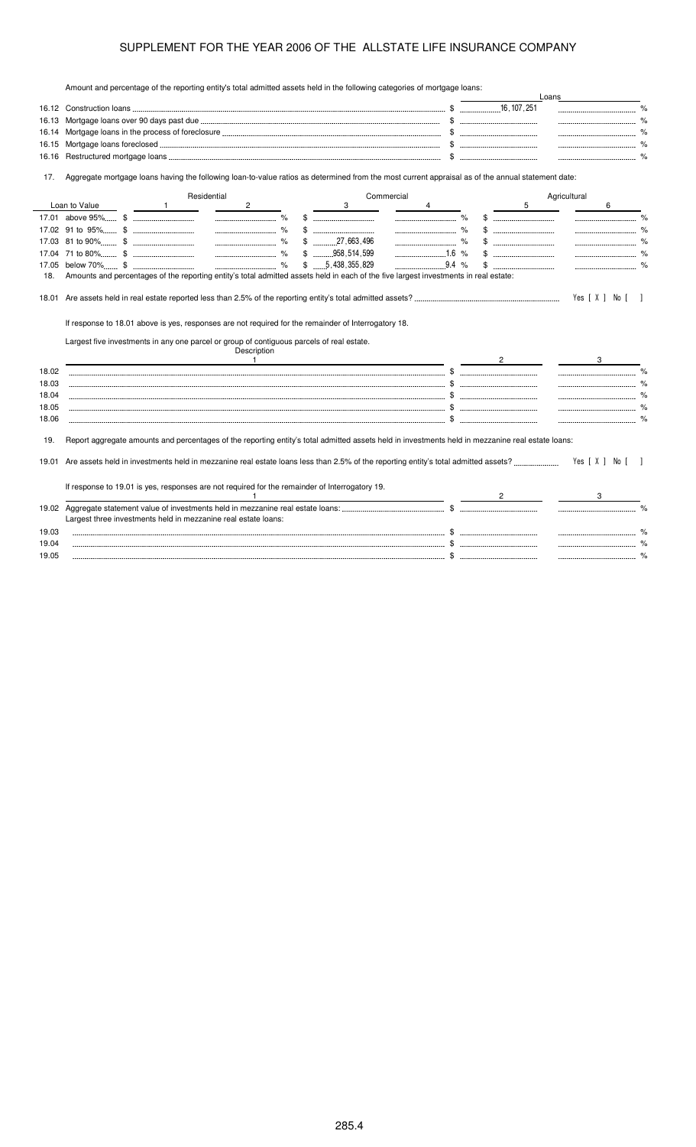Amount and percentage of the reporting entity's total admitted assets held in the following categories of mortgage loans:

|                                  | Amount and percentage of the reporting emity's total admitted assets held in the following categories of mongage idahs.                           |                                                                                                                                                   |             |                                                              |  |                         |            |                |  |   | Loans        |                                      |                                 |
|----------------------------------|---------------------------------------------------------------------------------------------------------------------------------------------------|---------------------------------------------------------------------------------------------------------------------------------------------------|-------------|--------------------------------------------------------------|--|-------------------------|------------|----------------|--|---|--------------|--------------------------------------|---------------------------------|
|                                  |                                                                                                                                                   |                                                                                                                                                   |             |                                                              |  |                         |            |                |  |   |              |                                      |                                 |
|                                  |                                                                                                                                                   |                                                                                                                                                   |             |                                                              |  |                         |            |                |  |   |              |                                      |                                 |
| 16.14                            |                                                                                                                                                   |                                                                                                                                                   |             |                                                              |  |                         |            |                |  |   |              |                                      |                                 |
| 16.15                            |                                                                                                                                                   |                                                                                                                                                   |             |                                                              |  |                         |            |                |  |   |              |                                      |                                 |
| 16.16                            |                                                                                                                                                   |                                                                                                                                                   |             |                                                              |  |                         |            |                |  |   |              |                                      |                                 |
| 17.                              | Aggregate mortgage loans having the following loan-to-value ratios as determined from the most current appraisal as of the annual statement date: |                                                                                                                                                   |             |                                                              |  |                         |            |                |  |   |              |                                      |                                 |
|                                  |                                                                                                                                                   |                                                                                                                                                   | Residential |                                                              |  |                         | Commercial |                |  |   | Agricultural |                                      |                                 |
|                                  | Loan to Value                                                                                                                                     | $\sim$ 1                                                                                                                                          |             | $\overline{2}$                                               |  | 3                       |            | $\overline{4}$ |  | 5 |              |                                      | 6                               |
|                                  |                                                                                                                                                   |                                                                                                                                                   |             | $\begin{array}{ccc}\n&\circ\\ &\circ\\ &\circ\\ \end{array}$ |  |                         |            |                |  |   |              |                                      |                                 |
|                                  |                                                                                                                                                   |                                                                                                                                                   |             |                                                              |  |                         |            |                |  |   |              |                                      | ------------------------------- |
|                                  |                                                                                                                                                   |                                                                                                                                                   |             |                                                              |  | $$$ 27,663,496          |            |                |  |   |              |                                      |                                 |
|                                  |                                                                                                                                                   |                                                                                                                                                   |             |                                                              |  | $$$ 958,514,599         |            |                |  |   |              |                                      |                                 |
| 17.05                            |                                                                                                                                                   |                                                                                                                                                   |             |                                                              |  | $$ \dots 5,438,355,829$ |            | 9.4 %          |  |   |              |                                      |                                 |
| 18.                              | Amounts and percentages of the reporting entity's total admitted assets held in each of the five largest investments in real estate:              |                                                                                                                                                   |             |                                                              |  |                         |            |                |  |   |              |                                      |                                 |
|                                  |                                                                                                                                                   |                                                                                                                                                   |             |                                                              |  |                         |            |                |  |   |              | Yes [ X ] No [                       |                                 |
|                                  |                                                                                                                                                   | If response to 18.01 above is yes, responses are not required for the remainder of Interrogatory 18.                                              |             |                                                              |  |                         |            |                |  |   |              |                                      |                                 |
|                                  |                                                                                                                                                   | Largest five investments in any one parcel or group of contiguous parcels of real estate.                                                         |             | Description<br>$\mathbf{1}$                                  |  |                         |            |                |  |   |              |                                      |                                 |
|                                  |                                                                                                                                                   |                                                                                                                                                   |             |                                                              |  |                         |            |                |  |   |              | ------------------------------------ |                                 |
|                                  |                                                                                                                                                   |                                                                                                                                                   |             |                                                              |  |                         |            |                |  |   |              |                                      |                                 |
|                                  |                                                                                                                                                   |                                                                                                                                                   |             |                                                              |  |                         |            |                |  |   |              |                                      |                                 |
| 18.02<br>18.03<br>18.04<br>18.05 |                                                                                                                                                   |                                                                                                                                                   |             |                                                              |  |                         |            |                |  |   |              |                                      |                                 |
| 18.06                            |                                                                                                                                                   |                                                                                                                                                   |             |                                                              |  |                         |            |                |  |   |              |                                      |                                 |
| 19.                              |                                                                                                                                                   | Report aggregate amounts and percentages of the reporting entity's total admitted assets held in investments held in mezzanine real estate loans: |             |                                                              |  |                         |            |                |  |   |              |                                      |                                 |
|                                  |                                                                                                                                                   |                                                                                                                                                   |             |                                                              |  |                         |            |                |  |   |              | Yes [ X ] No [ ]                     |                                 |
|                                  |                                                                                                                                                   | If response to 19.01 is yes, responses are not required for the remainder of Interrogatory 19.                                                    |             |                                                              |  |                         |            |                |  |   |              |                                      |                                 |
|                                  |                                                                                                                                                   |                                                                                                                                                   |             |                                                              |  |                         |            |                |  |   |              |                                      |                                 |
|                                  |                                                                                                                                                   |                                                                                                                                                   |             |                                                              |  |                         |            |                |  |   |              |                                      |                                 |
|                                  |                                                                                                                                                   | Largest three investments held in mezzanine real estate loans:                                                                                    |             |                                                              |  |                         |            |                |  |   |              |                                      |                                 |
| 19.03<br>19.04                   |                                                                                                                                                   |                                                                                                                                                   |             |                                                              |  |                         |            |                |  |   |              |                                      |                                 |